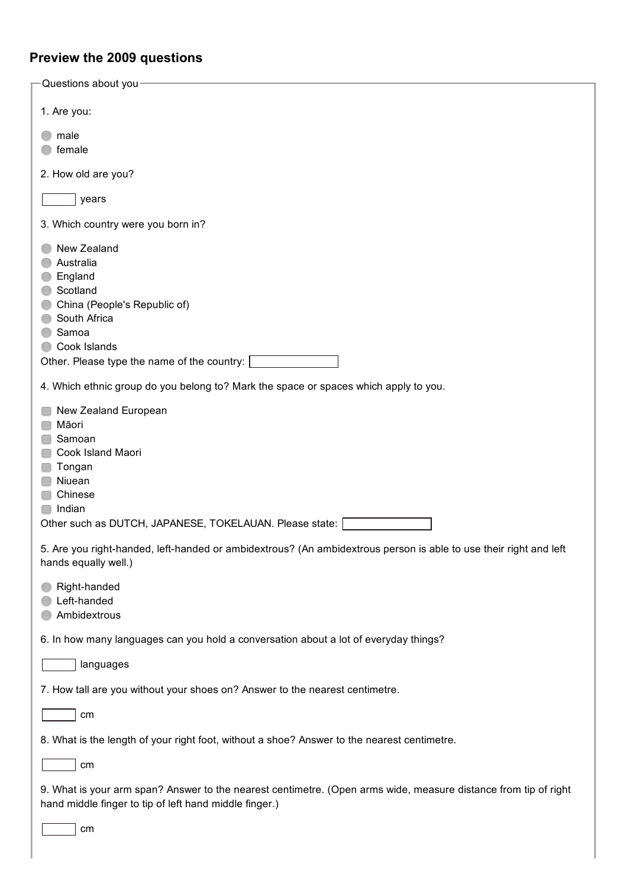## **Preview the 2009 questions**

| -Questions about you-                                                                                                                                                     |
|---------------------------------------------------------------------------------------------------------------------------------------------------------------------------|
| 1. Are you:                                                                                                                                                               |
|                                                                                                                                                                           |
| male<br>female                                                                                                                                                            |
| 2. How old are you?                                                                                                                                                       |
| years                                                                                                                                                                     |
| 3. Which country were you born in?                                                                                                                                        |
| New Zealand<br>Australia<br>England<br>Scotland<br>China (People's Republic of)<br>South Africa<br>Samoa<br>Cook Islands<br>Other. Please type the name of the country:   |
| 4. Which ethnic group do you belong to? Mark the space or spaces which apply to you.                                                                                      |
| New Zealand European<br>Māori<br>Samoan<br>Cook Island Maori<br>Tongan<br>Niuean<br>Chinese<br>Indian<br>Other such as DUTCH, JAPANESE, TOKELAUAN. Please state:          |
| 5. Are you right-handed, left-handed or ambidextrous? (An ambidextrous person is able to use their right and left<br>hands equally well.)                                 |
| Right-handed<br>Left-handed<br>Ambidextrous                                                                                                                               |
| 6. In how many languages can you hold a conversation about a lot of everyday things?                                                                                      |
| languages                                                                                                                                                                 |
| 7. How tall are you without your shoes on? Answer to the nearest centimetre.                                                                                              |
| cm                                                                                                                                                                        |
| 8. What is the length of your right foot, without a shoe? Answer to the nearest centimetre.                                                                               |
| cm                                                                                                                                                                        |
| 9. What is your arm span? Answer to the nearest centimetre. (Open arms wide, measure distance from tip of right<br>hand middle finger to tip of left hand middle finger.) |
| cm                                                                                                                                                                        |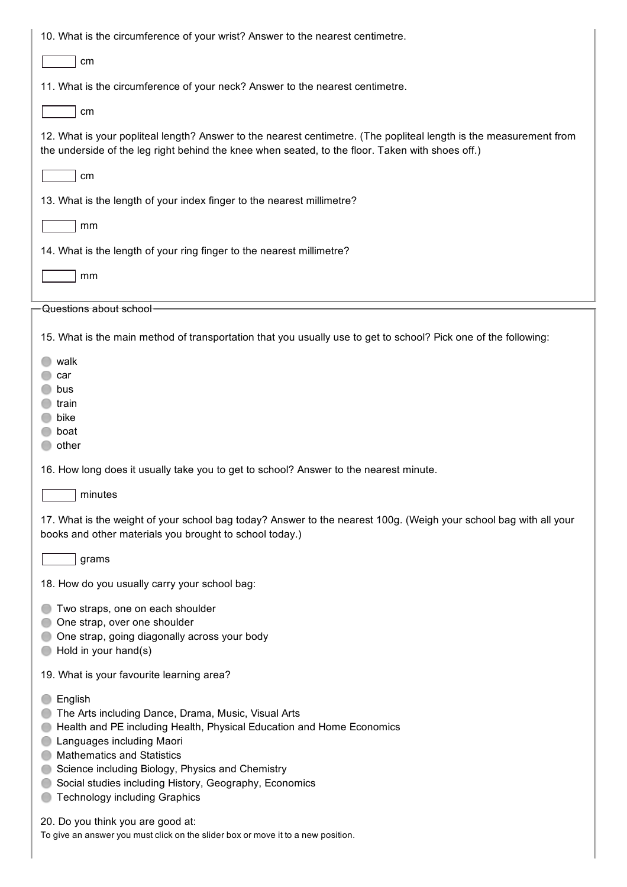| 10. What is the circumference of your wrist? Answer to the nearest centimetre.                                                                                                                                                                                                                                                                                  |
|-----------------------------------------------------------------------------------------------------------------------------------------------------------------------------------------------------------------------------------------------------------------------------------------------------------------------------------------------------------------|
| cm                                                                                                                                                                                                                                                                                                                                                              |
| 11. What is the circumference of your neck? Answer to the nearest centimetre.                                                                                                                                                                                                                                                                                   |
| cm                                                                                                                                                                                                                                                                                                                                                              |
| 12. What is your popliteal length? Answer to the nearest centimetre. (The popliteal length is the measurement from<br>the underside of the leg right behind the knee when seated, to the floor. Taken with shoes off.)                                                                                                                                          |
| cm                                                                                                                                                                                                                                                                                                                                                              |
| 13. What is the length of your index finger to the nearest millimetre?                                                                                                                                                                                                                                                                                          |
| mm                                                                                                                                                                                                                                                                                                                                                              |
| 14. What is the length of your ring finger to the nearest millimetre?                                                                                                                                                                                                                                                                                           |
| mm                                                                                                                                                                                                                                                                                                                                                              |
| Questions about school-                                                                                                                                                                                                                                                                                                                                         |
| 15. What is the main method of transportation that you usually use to get to school? Pick one of the following:                                                                                                                                                                                                                                                 |
| walk<br>car<br>bus<br>train<br>bike<br>boat<br>other                                                                                                                                                                                                                                                                                                            |
| 16. How long does it usually take you to get to school? Answer to the nearest minute.                                                                                                                                                                                                                                                                           |
| minutes                                                                                                                                                                                                                                                                                                                                                         |
| 17. What is the weight of your school bag today? Answer to the nearest 100g. (Weigh your school bag with all your<br>books and other materials you brought to school today.)                                                                                                                                                                                    |
| grams                                                                                                                                                                                                                                                                                                                                                           |
| 18. How do you usually carry your school bag:                                                                                                                                                                                                                                                                                                                   |
| Two straps, one on each shoulder<br>One strap, over one shoulder<br>One strap, going diagonally across your body<br>Hold in your hand(s)                                                                                                                                                                                                                        |
| 19. What is your favourite learning area?                                                                                                                                                                                                                                                                                                                       |
| English<br>The Arts including Dance, Drama, Music, Visual Arts<br>Health and PE including Health, Physical Education and Home Economics<br>Languages including Maori<br><b>Mathematics and Statistics</b><br>Science including Biology, Physics and Chemistry<br>Social studies including History, Geography, Economics<br><b>Technology including Graphics</b> |
| 20. Do you think you are good at:<br>To give an answer you must click on the slider box or move it to a new position.                                                                                                                                                                                                                                           |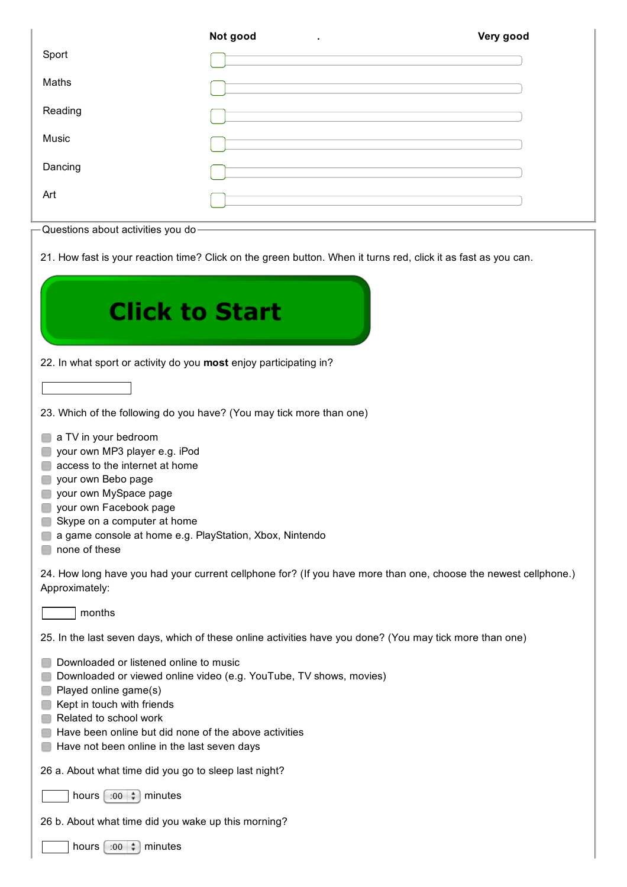|                                                                                                                | Not good                                                            | Very good |  |  |
|----------------------------------------------------------------------------------------------------------------|---------------------------------------------------------------------|-----------|--|--|
| Sport                                                                                                          | <u> 1989 - Andrea Stadt Britain, amerikansk politiker (d. 1989)</u> |           |  |  |
| Maths                                                                                                          |                                                                     |           |  |  |
| Reading                                                                                                        | <u> 1989 - Andrea Stadt Britain, amerikansk politiker (d. 1989)</u> |           |  |  |
| Music                                                                                                          |                                                                     |           |  |  |
| Dancing                                                                                                        | <u> 1989 - Johann Stoff, fransk politik (d. 1989)</u>               |           |  |  |
| Art                                                                                                            |                                                                     |           |  |  |
| Questions about activities you do-                                                                             |                                                                     |           |  |  |
| 21. How fast is your reaction time? Click on the green button. When it turns red, click it as fast as you can. |                                                                     |           |  |  |

| <b>Click to Start</b>                                                                                                                                                                                                                                                                                 |
|-------------------------------------------------------------------------------------------------------------------------------------------------------------------------------------------------------------------------------------------------------------------------------------------------------|
| 22. In what sport or activity do you most enjoy participating in?                                                                                                                                                                                                                                     |
|                                                                                                                                                                                                                                                                                                       |
| 23. Which of the following do you have? (You may tick more than one)                                                                                                                                                                                                                                  |
| a TV in your bedroom<br>your own MP3 player e.g. iPod<br>access to the internet at home<br>your own Bebo page<br>your own MySpace page<br>your own Facebook page<br>Skype on a computer at home<br>a game console at home e.g. PlayStation, Xbox, Nintendo<br>none of these                           |
| 24. How long have you had your current cellphone for? (If you have more than one, choose the newest cellphone.)<br>Approximately:                                                                                                                                                                     |
| months                                                                                                                                                                                                                                                                                                |
| 25. In the last seven days, which of these online activities have you done? (You may tick more than one)                                                                                                                                                                                              |
| Downloaded or listened online to music<br>Downloaded or viewed online video (e.g. YouTube, TV shows, movies)<br>Played online game(s)<br>Kept in touch with friends<br>Related to school work<br>Have been online but did none of the above activities<br>Have not been online in the last seven days |
| 26 a. About what time did you go to sleep last night?                                                                                                                                                                                                                                                 |
| minutes<br>hours $[ \cdot 00 \div ]$                                                                                                                                                                                                                                                                  |
| 26 b. About what time did you wake up this morning?                                                                                                                                                                                                                                                   |
| hours $[ \cdot 00 \mid \frac{1}{r} ]$<br>minutes                                                                                                                                                                                                                                                      |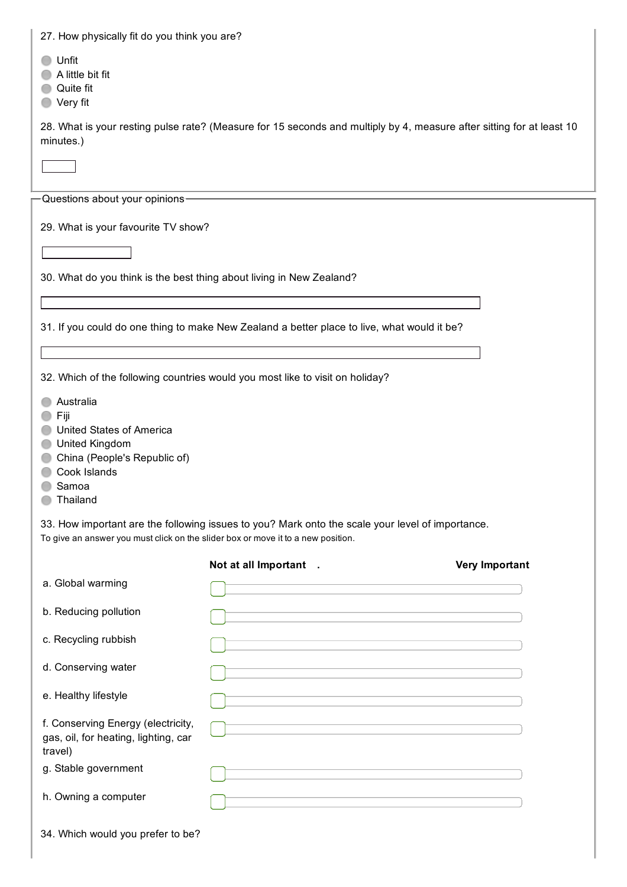| 27. How physically fit do you think you are?                                                                                                |                                                                                                                                                                                                      |                       |
|---------------------------------------------------------------------------------------------------------------------------------------------|------------------------------------------------------------------------------------------------------------------------------------------------------------------------------------------------------|-----------------------|
| Unfit<br>A little bit fit<br>Quite fit<br>Very fit                                                                                          |                                                                                                                                                                                                      |                       |
| minutes.)                                                                                                                                   | 28. What is your resting pulse rate? (Measure for 15 seconds and multiply by 4, measure after sitting for at least 10                                                                                |                       |
|                                                                                                                                             |                                                                                                                                                                                                      |                       |
| Questions about your opinions-                                                                                                              |                                                                                                                                                                                                      |                       |
| 29. What is your favourite TV show?                                                                                                         |                                                                                                                                                                                                      |                       |
|                                                                                                                                             |                                                                                                                                                                                                      |                       |
| 30. What do you think is the best thing about living in New Zealand?                                                                        |                                                                                                                                                                                                      |                       |
|                                                                                                                                             |                                                                                                                                                                                                      |                       |
|                                                                                                                                             | 31. If you could do one thing to make New Zealand a better place to live, what would it be?                                                                                                          |                       |
|                                                                                                                                             | and the control of the control of the control of the control of the control of the control of the control of the<br>,我们也不会有什么。""我们的人,我们也不会有什么?""我们的人,我们也不会有什么?""我们的人,我们也不会有什么?""我们的人,我们也不会有什么?""我们的人 |                       |
|                                                                                                                                             | 32. Which of the following countries would you most like to visit on holiday?                                                                                                                        |                       |
| Australia<br>Fiji<br><b>United States of America</b><br>United Kingdom<br>China (People's Republic of)<br>Cook Islands<br>Samoa<br>Thailand |                                                                                                                                                                                                      |                       |
| To give an answer you must click on the slider box or move it to a new position.                                                            | 33. How important are the following issues to you? Mark onto the scale your level of importance.                                                                                                     |                       |
|                                                                                                                                             | Not at all Important .                                                                                                                                                                               | <b>Very Important</b> |
| a. Global warming                                                                                                                           |                                                                                                                                                                                                      |                       |
| b. Reducing pollution                                                                                                                       |                                                                                                                                                                                                      |                       |
| c. Recycling rubbish                                                                                                                        |                                                                                                                                                                                                      |                       |
| d. Conserving water                                                                                                                         | the control of the control of the control of the control of the control of the control of<br>the control of the control of the control of the control of the control of the control of               |                       |
| e. Healthy lifestyle                                                                                                                        |                                                                                                                                                                                                      |                       |
| f. Conserving Energy (electricity,<br>gas, oil, for heating, lighting, car<br>travel)                                                       |                                                                                                                                                                                                      |                       |
| g. Stable government                                                                                                                        | the control of the control of the control of the control of the control of                                                                                                                           |                       |
| h. Owning a computer                                                                                                                        |                                                                                                                                                                                                      |                       |
| 34. Which would you prefer to be?                                                                                                           |                                                                                                                                                                                                      |                       |